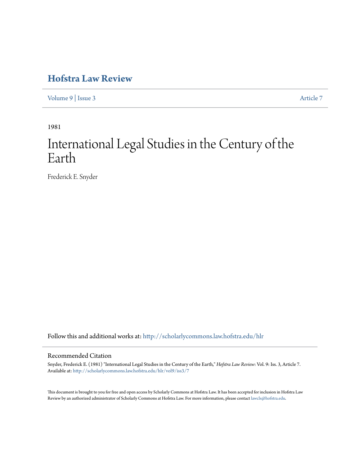# **[Hofstra Law Review](http://scholarlycommons.law.hofstra.edu/hlr?utm_source=scholarlycommons.law.hofstra.edu%2Fhlr%2Fvol9%2Fiss3%2F7&utm_medium=PDF&utm_campaign=PDFCoverPages)**

[Volume 9](http://scholarlycommons.law.hofstra.edu/hlr/vol9?utm_source=scholarlycommons.law.hofstra.edu%2Fhlr%2Fvol9%2Fiss3%2F7&utm_medium=PDF&utm_campaign=PDFCoverPages) | [Issue 3](http://scholarlycommons.law.hofstra.edu/hlr/vol9/iss3?utm_source=scholarlycommons.law.hofstra.edu%2Fhlr%2Fvol9%2Fiss3%2F7&utm_medium=PDF&utm_campaign=PDFCoverPages) [Article 7](http://scholarlycommons.law.hofstra.edu/hlr/vol9/iss3/7?utm_source=scholarlycommons.law.hofstra.edu%2Fhlr%2Fvol9%2Fiss3%2F7&utm_medium=PDF&utm_campaign=PDFCoverPages)

1981

# International Legal Studies in the Century of the Earth

Frederick E. Snyder

Follow this and additional works at: [http://scholarlycommons.law.hofstra.edu/hlr](http://scholarlycommons.law.hofstra.edu/hlr?utm_source=scholarlycommons.law.hofstra.edu%2Fhlr%2Fvol9%2Fiss3%2F7&utm_medium=PDF&utm_campaign=PDFCoverPages)

# Recommended Citation

Snyder, Frederick E. (1981) "International Legal Studies in the Century of the Earth," *Hofstra Law Review*: Vol. 9: Iss. 3, Article 7. Available at: [http://scholarlycommons.law.hofstra.edu/hlr/vol9/iss3/7](http://scholarlycommons.law.hofstra.edu/hlr/vol9/iss3/7?utm_source=scholarlycommons.law.hofstra.edu%2Fhlr%2Fvol9%2Fiss3%2F7&utm_medium=PDF&utm_campaign=PDFCoverPages)

This document is brought to you for free and open access by Scholarly Commons at Hofstra Law. It has been accepted for inclusion in Hofstra Law Review by an authorized administrator of Scholarly Commons at Hofstra Law. For more information, please contact [lawcls@hofstra.edu](mailto:lawcls@hofstra.edu).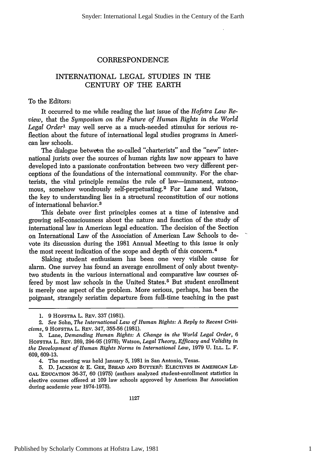# CORRESPONDENCE

# INTERNATIONAL LEGAL STUDIES IN THE CENTURY OF THE EARTH

To the Editors:

It occurred to me while reading the last issue of the *Hofstra Law Review,* that the *Symposium on the Future of Human Rights in the World Legal Order'* may well serve as a much-needed stimulus for serious reflection about the future of international legal studies programs in American law schools.

The dialogue between the so-called "charterists" and the "new" international jurists over the sources of human rights law now appears to have developed into a passionate confrontation between two very different perceptions of the foundations of the international community. For the charterists, the vital principle remains the rule of law-immanent, autonomous, somehow wondrously self-perpetuating.<sup>2</sup> For Lane and Watson, the key to understanding lies in a structural reconstitution of our notions of international behavior.<sup>3</sup>

This debate over first principles comes at a time of intensive and growing self-consciousness about the nature and function of the study of international law in American legal education. The decision of the Section on International Law of the Association of American Law Schools to devote its discussion during the 1981 Annual Meeting to this issue is only the most recent indication of the scope and depth of this concern. <sup>4</sup>

Slaking student enthusiasm has been one very visible cause for alarm. One survey has found an average enrollment of only about twentytwo students in the various international and comparative law courses offered by most law schools in the United States.<sup>5</sup> But student enrollment is merely one aspect of the problem. More serious, perhaps, has been the poignant, strangely seriatim departure from full-time teaching in the past

4. The meeting was held January 5, 1981 in San Antonio, Texas.

**5. D. JACKSON & E.** GEE, BREAD **AND** BUTTER?: **ELECTIVES** IN AMERICAN LE-**GAL EDUCATION** 36-37, 60 (1975) (authors analyzed student-enrollment statistics in elective courses offered at 109 law schools approved by American Bar Association during academic year 1974-1975).

<sup>1. 9</sup> HOFSTRA L. REV. 337 (1981).

<sup>2.</sup> *See* Sohn, *The International Law of Human Rights: A Reply to Recent Criticisms,* 9 HOFSTnA L. REV. 347, 355-56 (1981).

<sup>3.</sup> Lane, *Demanding Human Rights: A Change in the World Legal Order, 6* HOFSTRA L. REv. 269, 294-95 (1978); Watson, *Legal Theory, Efficacy and Validity in the Development of Human Rights Norms in International Law,* 1979 U. ILL. L. F. 609, 609-13.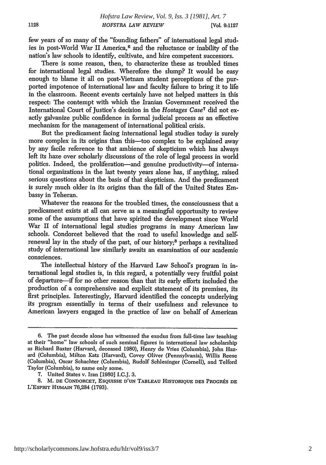few years of so many of the "founding fathers" of international legal studies in post-World War II America,6 and the reluctance or inability of the nation's law schools to identify, cultivate, and hire competent successors.

There is some reason, then, to characterize these as troubled times for international legal studies. Wherefore the slump? It would be easy enough to blame it all on post-Vietnam student perceptions of the purported impotence of international law and faculty failure to bring it to life in the classroom. Recent events certainly have not helped matters in this respect: The contempt with which the Iranian Government received the International Court of Justice's decision in the *Hostages Case7* did not exactly galvanize public confidence in formal judicial process as an effective mechanism for the management of international political crisis.

But the predicament facing international legal studies today is surely more complex in its origins than this-too complex to be explained away by any facile reference to that ambience of skepticism which has always left its haze over scholarly discussions of the role of legal process in world politics. Indeed, the proliferation-and genuine productivity-of international organizations in the last twenty years alone has, if anything, raised serious questions about the basis of that skepticism. And the predicament is surely much older in its origins than the fall of the United States Embassy in Teheran.

Whatever the reasons for the troubled times, the consciousness that a predicament exists at all can serve as a meaningful opportunity to review some of the assumptions that have spirited the development since World War II of international legal studies programs in many American law schools. Condorcet believed that the road to useful knowledge and selfrenewal lay in the study of the past, of our history;8 perhaps a revitalized study of international law similarly awaits an examination of our academic consciences.

The intellectual history of the Harvard Law School's program in international legal studies is, in this regard, a potentially very fruitful point of departure-if for no other reason than that its early efforts included the production of a comprehensive and explicit statement of its premises, its first principles. Interestingly, Harvard identified the concepts underlying its program essentially in terms of their usefulness and relevance to American lawyers engaged in the practice of law on behalf of American

<sup>6.</sup> The past decade alone has witnessed the exodus from full-time law teaching at their "home" law schools of such seminal figures in international law scholarship as Richard Baxter (Harvard, deceased 1980), Henry de Vries (Columbia), John Hazard (Columbia), Milton Katz (Harvard), Covey Oliver (Pennsylvania), Willis Reese (Columbia), Oscar Schachter (Columbia), Rudolf Schlesinger (Cornell), and Telford Taylor (Columbia), to name only some. 7. United States v. Iran [1980] I.C.J. 3.

<sup>8.</sup> M. DE CONDORCET, ESQUISSE D'UN TABLEAU HISTORIQUE DES PROGRÉS DE **L'ESPRTT** HUMAIN 76,284 (1793).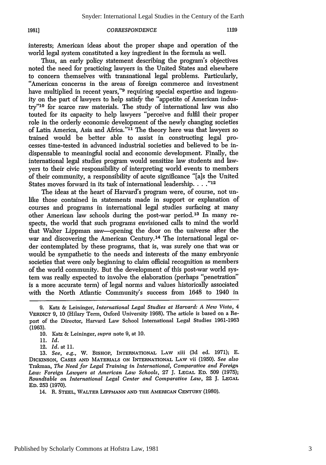#### **1981]**

#### *CORRESPONDENCE*

interests; American ideas about the proper shape and operation of the world legal system constituted a key ingredient in the formula as well.

Thus, an early policy statement describing the program's objectives noted the need for practicing lawyers in the United States and elsewhere to concern themselves with transnational legal problems. Particularly, "American concerns in the areas of foreign commerce and investment have multiplied in recent years,"<sup>9</sup> requiring special expertise and ingenuity on the part of lawyers to help satisfy the "appetite of American indus**try'10** for scarce raw materials. The study of international law was also touted for its capacity to help lawyers "perceive and fulfil their proper role in the orderly economic development of the newly changing societies of Latin America, Asia and Africa."<sup>11</sup> The theory here was that lawyers so trained would be better able to assist in constructing legal processes time-tested in advanced industrial societies and believed to be indispensable to meaningful social and economic development. Finally, the international legal studies program would sensitize law students and lawyers to their civic responsibility of interpreting world events to members of their community, a responsibility of acute significance "[a]s the United States moves forward in its task of international leadership. . . . "12

The ideas at the heart of Harvard's program were, of course, not unlike those contained in statements made in support or explanation of courses and programs in international legal studies surfacing at many other American law schools during the post-war period. 13 In many respects, the world that such programs envisioned calls to mind the world that Walter Lippman saw-opening the door on the universe after the war and discovering the American Century.14 The international legal order contemplated by these programs, that is, was surely one that was or would be sympathetic to the needs and interests of the many embryonic societies that were only beginning to claim official recognition as members of the world community. But the development of this post-war world system was really expected to involve the elaboration (perhaps "penetration" is a more accurate term) of legal norms and values historically associated with the North Atlantic Community's success from 1648 to 1940 in

12. *Id.* at 11.

13. *See, e.g.,* W. BISHOP, INTERNATIONAL LAw xiii (3d ed. 1971); E. **DICKINSON, CASES AND** MATERIALS **ON** INTERNATIONAL LAw vii (1950). *See also* Trakman, *The Need for Legal Training in International, Comparative and Foreign Law: Foreign Lawyers at American Law Schools,* 27 J. **LEGAL ED.** 509 (1975); *Roundtable on International Legal Center and Comparative Law,* 22 J. **LEGAL ED.** 253 (1970).

14. R. **STEEL,** WALTER LIPPMANN **AND** THE **AMERICAN CENTURY** (1980).

<sup>9.</sup> Katz & Leininger, *International Legal Studies at Harvard: A New Vista, 4* VERDICT 9, 10 (Hilary Term, Oxford University 1968). The article is based on a Report of the Director, Harvard Law School International Legal Studies 1961-1963 **(1963).**

<sup>10.</sup> Katz & Leininger, supra note 9, at 10.

<sup>11.</sup> *Id.*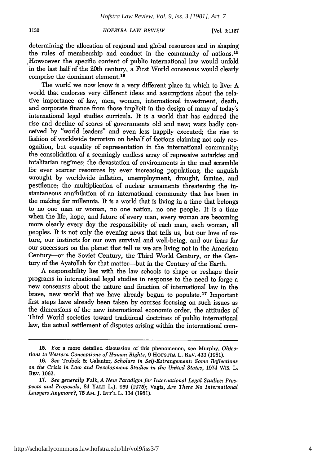1130

# *HOFSTRA LAW REVIEW*

[Vol. **9:1127**

determining the allocation of regional and global resources and in shaping the rules of membership and conduct in the community of nations.15 Howsoever the specific content of public international law would unfold in the last half of the 20th century, a First World consensus would clearly comprise the dominant element.16

The world we now know is a very different place in which to live: A world that endorses very different ideas and assumptions about the relative importance of law, men, women, international investment, death, and corporate finance from those implicit in the design of many of today's international legal studies curricula. It is a world that has endured the rise and decline of scores of governments old and new; wars badly conceived by "world leaders" and even less happily executed; the rise to fashion of worldwide terrorism on behalf of factions claiming not only recognition, but equality of representation in the international community; the consolidation of a seemingly endless array of repressive autarkies and totalitarian regimes; the devastation of environments in the mad scramble for ever scarcer resources by ever increasing populations; the anguish wrought by worldwide inflation, unemployment, drought, famine, and pestilence; the multiplication of nuclear armaments threatening the instantaneous annihilation of an international community that has been in the making for millennia. It is a world that is living in a time that belongs to no one man or woman, no one nation, no one people. It is a time when the life, hope, and future of every man, every woman are becoming more clearly every day the responsibility of each man, each woman, all peoples. It is not only the evening news that tells us, but our love of nature, our instincts for our own survival and well-being, and our fears for our successors on the planet that tell us we are living not in the American Century-or the Soviet Century, the Third World Century, or the Century of the Ayatollah for that matter--but in the Century of the Earth.

A responsibility lies with the law schools to shape or reshape their programs in international legal studies in response to the need to forge a new consensus about the nature and function of international law in the brave, new world that we have already begun to populate.17 Important first steps have already been taken by courses focusing on such issues as the dimensions of the new international economic order, the attitudes of Third World societies toward traditional doctrines of public international law, the actual settlement of disputes arising within the international com-

<sup>15.</sup> For a more detailed discussion of this phenomenon, see Murphy, Objec*tions to Western Conceptions of Human Rights,* 9 **HOFSTRA** L. **REv.** 433 (1981).

<sup>16.</sup> *See* Trubek & Galanter, *Scholars in Self-Estrangement: Some Reflections on the Crisis in Law and Development Studies in the United States,* 1974 Wis. L. **REv. 1062.**

**<sup>17.</sup>** *See generally* Falk, *A New Paradigm for International Legal Studies: Prospects and Proposals,* 84 YALE L.J. 969 (1975); Vagts, *Are There No International Lawyers Anymore?,* 75 AM. J. **INT'L** L. 134 (1981).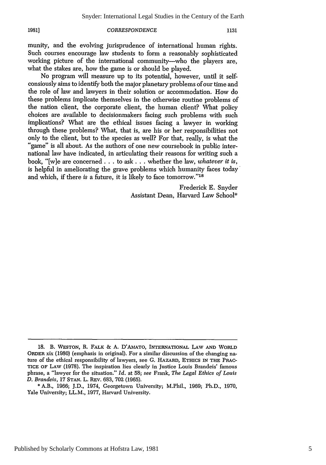**19811**

### *CORRESPONDENCE*

munity, and the evolving jurisprudence of international human rights. Such courses encourage law students to form a reasonably sophisticated working picture of the international community---who the players are, what the stakes are, how the game is or should be played.

No program will measure up to its potential, however, until it selfconsiously aims to identify both the major planetary problems of our time and the role of law and lawyers in their solution or accommodation. How do these problems implicate themselves in the otherwise routine problems of the nation client, the corporate client, the human client? What policy choices are available to decisionmakers facing such problems with such implications? What are the ethical issues facing a lawyer in working through these problems? What, that is, are his or her responsibilities not only to the client, but to the species as well? For that, really, is what the "game" is all about. As the authors of one new coursebook in public international law have indicated, in articulating their reasons for writing such a book, "[w]e are concerned.., to ask... whether the law, *whatever it is,* is helpful in ameliorating the grave problems which humanity faces today and which, if there is a future, it is likely to face tomorrow."<sup>18</sup>

> Frederick E. Snyder Assistant Dean, Harvard Law School\*

<sup>18.</sup> B. **WESTON,** R. FALK *&* A. D'AMATO, INTERNATIONAL LAW **AND** WORLD ORDER xix (1980) (emphasis in original). For a similar discussion of the changing nature of the ethical responsibility of lawyers, see G. HAZARD, **ETHICS IN THE** PRAC-**TICE** OF LAw (1978). The inspiration lies clearly in Justice Louis Brandeis' famous phrase, a "lawyer for the situation." *Id.* at 58; *see* Frank, *The Legal Ethics of Louis D. Brandeis,* 17 **STAN.** L. REv. 683, 702 (1965).

<sup>\*</sup> A.B., 1966; J.D., 1974, Georgetown University; M.Phil., 1969; Ph.D., 1970, Yale University; LL.M., 1977, Harvard University.